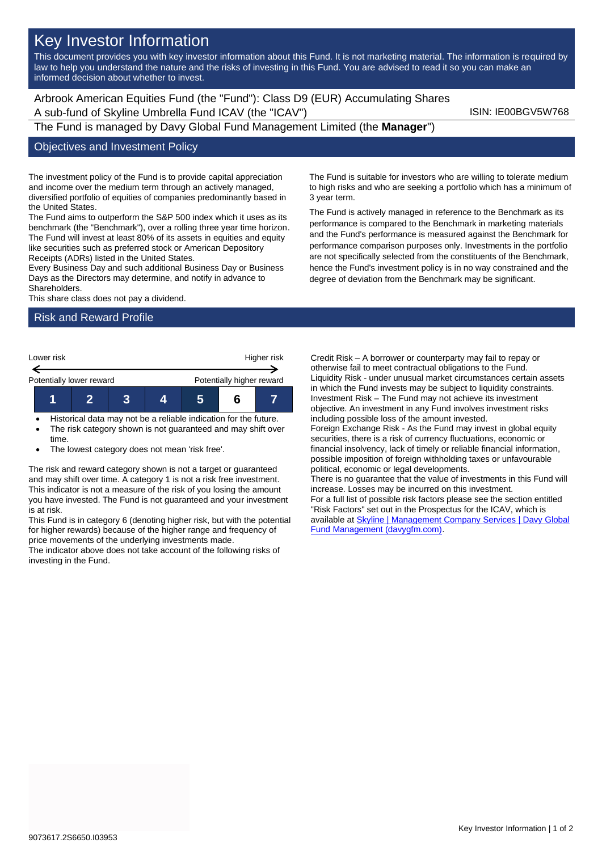# Key Investor Information

This document provides you with key investor information about this Fund. It is not marketing material. The information is required by law to help you understand the nature and the risks of investing in this Fund. You are advised to read it so you can make an informed decision about whether to invest.

Arbrook American Equities Fund (the "Fund"): Class D9 (EUR) Accumulating Shares A sub-fund of Skyline Umbrella Fund ICAV (the "ICAV") ISIN: IE00BGV5W768 The Fund is managed by Davy Global Fund Management Limited (the **Manager**")

## Objectives and Investment Policy

The investment policy of the Fund is to provide capital appreciation and income over the medium term through an actively managed, diversified portfolio of equities of companies predominantly based in the United States.

The Fund aims to outperform the S&P 500 index which it uses as its benchmark (the "Benchmark"), over a rolling three year time horizon. The Fund will invest at least 80% of its assets in equities and equity like securities such as preferred stock or American Depository Receipts (ADRs) listed in the United States.

Every Business Day and such additional Business Day or Business Days as the Directors may determine, and notify in advance to Shareholders.

This share class does not pay a dividend.

#### Risk and Reward Profile



- Historical data may not be a reliable indication for the future.
- The risk category shown is not guaranteed and may shift over time.
- The lowest category does not mean 'risk free'.

The risk and reward category shown is not a target or guaranteed and may shift over time. A category 1 is not a risk free investment. This indicator is not a measure of the risk of you losing the amount you have invested. The Fund is not guaranteed and your investment is at risk.

This Fund is in category 6 (denoting higher risk, but with the potential for higher rewards) because of the higher range and frequency of price movements of the underlying investments made.

The indicator above does not take account of the following risks of investing in the Fund.

The Fund is suitable for investors who are willing to tolerate medium to high risks and who are seeking a portfolio which has a minimum of 3 year term.

The Fund is actively managed in reference to the Benchmark as its performance is compared to the Benchmark in marketing materials and the Fund's performance is measured against the Benchmark for performance comparison purposes only. Investments in the portfolio are not specifically selected from the constituents of the Benchmark, hence the Fund's investment policy is in no way constrained and the degree of deviation from the Benchmark may be significant.

Credit Risk – A borrower or counterparty may fail to repay or otherwise fail to meet contractual obligations to the Fund. Liquidity Risk - under unusual market circumstances certain assets in which the Fund invests may be subject to liquidity constraints. Investment Risk – The Fund may not achieve its investment objective. An investment in any Fund involves investment risks including possible loss of the amount invested.

Foreign Exchange Risk - As the Fund may invest in global equity securities, there is a risk of currency fluctuations, economic or financial insolvency, lack of timely or reliable financial information, possible imposition of foreign withholding taxes or unfavourable political, economic or legal developments.

There is no guarantee that the value of investments in this Fund will increase. Losses may be incurred on this investment.

For a full list of possible risk factors please see the section entitled "Risk Factors" set out in the Prospectus for the ICAV, which is available a[t Skyline | Management Company Services | Davy Global](https://www.davygfm.com/funds-factsheets/management-company-services/ireland/skyline.html)  [Fund Management \(davygfm.com\).](https://www.davygfm.com/funds-factsheets/management-company-services/ireland/skyline.html)